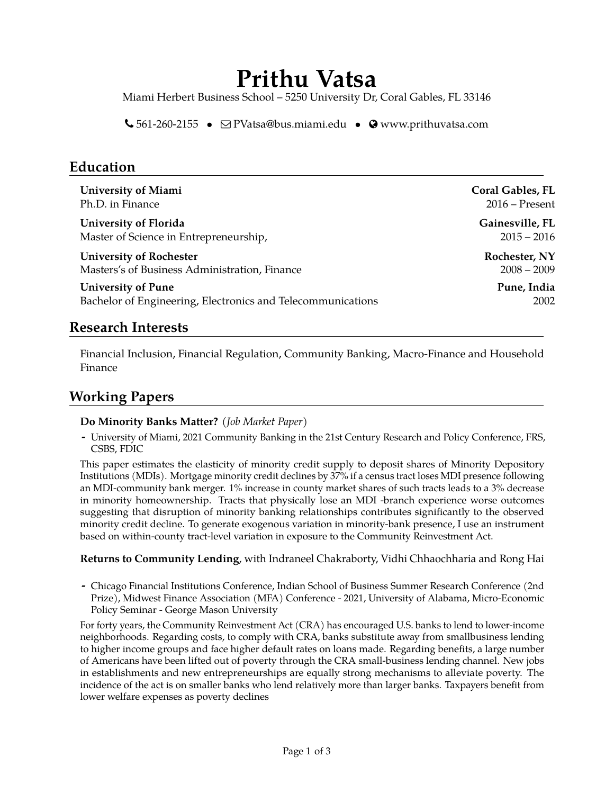# **Prithu Vatsa**

Miami Herbert Business School – 5250 University Dr, Coral Gables, FL 33146

 $\bigcup$  561-260-2155 •  $\bigcirc$  [PVatsa@bus.miami.edu](mailto:PVatsa@bus.miami.edu) •  $\bigcirc$  [www.prithuvatsa.com](http://www.prithuvatsa.com)

### **Education**

| <b>University of Miami</b>                                  | <b>Coral Gables, FL</b> |
|-------------------------------------------------------------|-------------------------|
| Ph.D. in Finance                                            | $2016$ – Present        |
| University of Florida                                       | Gainesville, FL         |
| Master of Science in Entrepreneurship,                      | $2015 - 2016$           |
| <b>University of Rochester</b>                              | Rochester, NY           |
| Masters's of Business Administration, Finance               | $2008 - 2009$           |
| <b>University of Pune</b>                                   | Pune, India             |
| Bachelor of Engineering, Electronics and Telecommunications | 2002                    |

### **Research Interests**

Financial Inclusion, Financial Regulation, Community Banking, Macro-Finance and Household Finance

### **Working Papers**

#### **Do Minority Banks Matter?** *(Job Market Paper)*

**-** University of Miami, 2021 Community Banking in the 21st Century Research and Policy Conference, FRS, CSBS, FDIC

This paper estimates the elasticity of minority credit supply to deposit shares of Minority Depository Institutions (MDIs). Mortgage minority credit declines by 37% if a census tract loses MDI presence following an MDI-community bank merger. 1% increase in county market shares of such tracts leads to a 3% decrease in minority homeownership. Tracts that physically lose an MDI -branch experience worse outcomes suggesting that disruption of minority banking relationships contributes significantly to the observed minority credit decline. To generate exogenous variation in minority-bank presence, I use an instrument based on within-county tract-level variation in exposure to the Community Reinvestment Act.

#### **Returns to Community Lending**, with Indraneel Chakraborty, Vidhi Chhaochharia and Rong Hai

**-** Chicago Financial Institutions Conference, Indian School of Business Summer Research Conference (2nd Prize), Midwest Finance Association (MFA) Conference - 2021, University of Alabama, Micro-Economic Policy Seminar - George Mason University

For forty years, the Community Reinvestment Act (CRA) has encouraged U.S. banks to lend to lower-income neighborhoods. Regarding costs, to comply with CRA, banks substitute away from smallbusiness lending to higher income groups and face higher default rates on loans made. Regarding benefits, a large number of Americans have been lifted out of poverty through the CRA small-business lending channel. New jobs in establishments and new entrepreneurships are equally strong mechanisms to alleviate poverty. The incidence of the act is on smaller banks who lend relatively more than larger banks. Taxpayers benefit from lower welfare expenses as poverty declines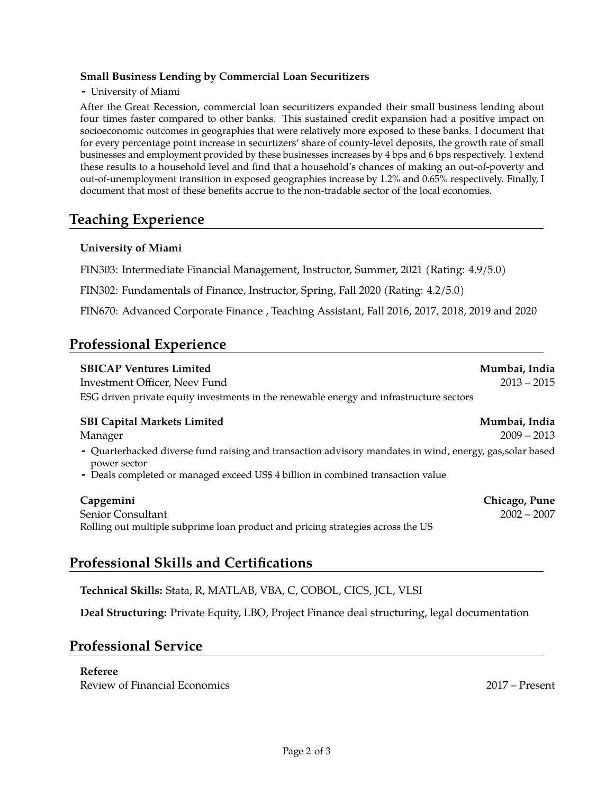#### **Small Business Lending by Commercial Loan Securitizers**

#### **-** University of Miami

After the Great Recession, commercial loan securitizers expanded their small business lending about four times faster compared to other banks. This sustained credit expansion had a positive impact on socioeconomic outcomes in geographies that were relatively more exposed to these banks. I document that for every percentage point increase in securtizers' share of county-level deposits, the growth rate of small businesses and employment provided by these businesses increases by 4 bps and 6 bps respectively. I extend these results to a household level and find that a household's chances of making an out-of-poverty and out-of-unemployment transition in exposed geographies increase by 1.2% and 0.65% respectively. Finally, I document that most of these benefits accrue to the non-tradable sector of the local economies.

### **Teaching Experience**

#### **University of Miami**

FIN303: Intermediate Financial Management, Instructor, Summer, 2021 (Rating: 4.9/5.0)

FIN302: Fundamentals of Finance, Instructor, Spring, Fall 2020 (Rating: 4.2/5.0)

FIN670: Advanced Corporate Finance , Teaching Assistant, Fall 2016, 2017, 2018, 2019 and 2020

### **Professional Experience**

| <b>SBICAP Ventures Limited</b><br>Investment Officer, Neev Fund<br>ESG driven private equity investments in the renewable energy and infrastructure sectors | Mumbai, India<br>$2013 - 2015$ |
|-------------------------------------------------------------------------------------------------------------------------------------------------------------|--------------------------------|
| <b>SBI Capital Markets Limited</b><br>Manager<br>- Quarterbacked diverse fund raising and transaction advisory mandates in wind, energy, gas, solar based   | Mumbai, India<br>$2009 - 2013$ |
| power sector<br>- Deals completed or managed exceed US\$ 4 billion in combined transaction value                                                            |                                |
| Capgemini                                                                                                                                                   | Chicago, Pune                  |

Senior Consultant 2002 – 2007 Rolling out multiple subprime loan product and pricing strategies across the US

### **Professional Skills and Certifications**

**Technical Skills:** Stata, R, MATLAB, VBA, C, COBOL, CICS, JCL, VLSI

**Deal Structuring:** Private Equity, LBO, Project Finance deal structuring, legal documentation

### **Professional Service**

#### **Referee**

Review of Financial Economics 2017 – Present